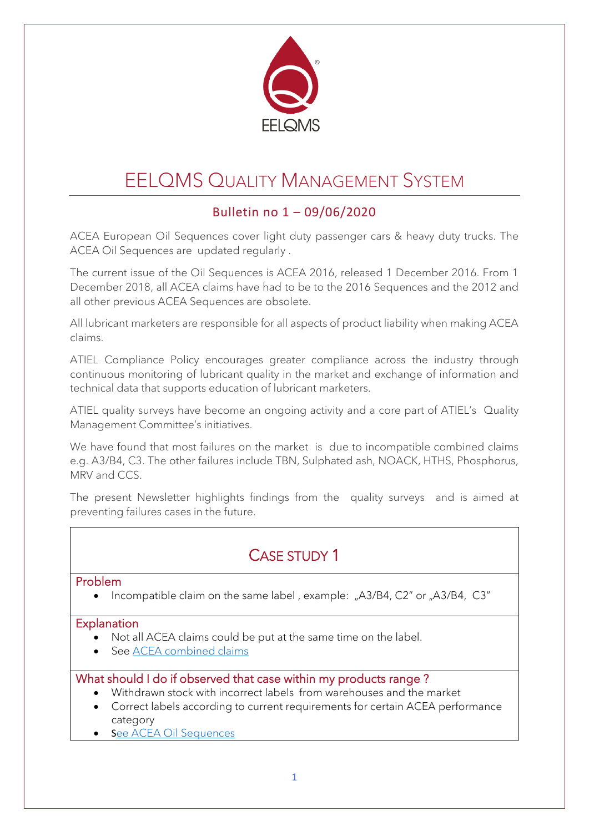

# EELQMS QUALITY MANAGEMENT SYSTEM

### Bulletin no 1 – 09/06/2020

ACEA European Oil Sequences cover light duty passenger cars & heavy duty trucks. The ACEA Oil Sequences are updated regularly .

The current issue of the Oil Sequences is ACEA 2016, released 1 December 2016. From 1 December 2018, all ACEA claims have had to be to the 2016 Sequences and the 2012 and all other previous ACEA Sequences are obsolete.

All lubricant marketers are responsible for all aspects of product liability when making ACEA claims.

ATIEL Compliance Policy encourages greater compliance across the industry through continuous monitoring of lubricant quality in the market and exchange of information and technical data that supports education of lubricant marketers.

ATIEL quality surveys have become an ongoing activity and a core part of ATIEL's Quality Management Committee's initiatives.

We have found that most failures on the market is due to incompatible combined claims e.g. A3/B4, C3. The other failures include TBN, Sulphated ash, NOACK, HTHS, Phosphorus, MRV and CCS.

The present Newsletter highlights findings from the quality surveys and is aimed at preventing failures cases in the future.

### CASE STUDY 1

#### Problem

• Incompatible claim on the same label , example: "A3/B4, C2" or "A3/B4, C3"

#### **Explanation**

- Not all ACEA claims could be put at the same time on the label.
- See [ACEA combined claims](https://atiel.org/industry-info/acea-oil-sequences/acea-combined-claims)

#### What should I do if observed that case within my products range ?

- Withdrawn stock with incorrect labels from warehouses and the market
- Correct labels according to current requirements for certain ACEA performance category
- See ACEA Oil Sequences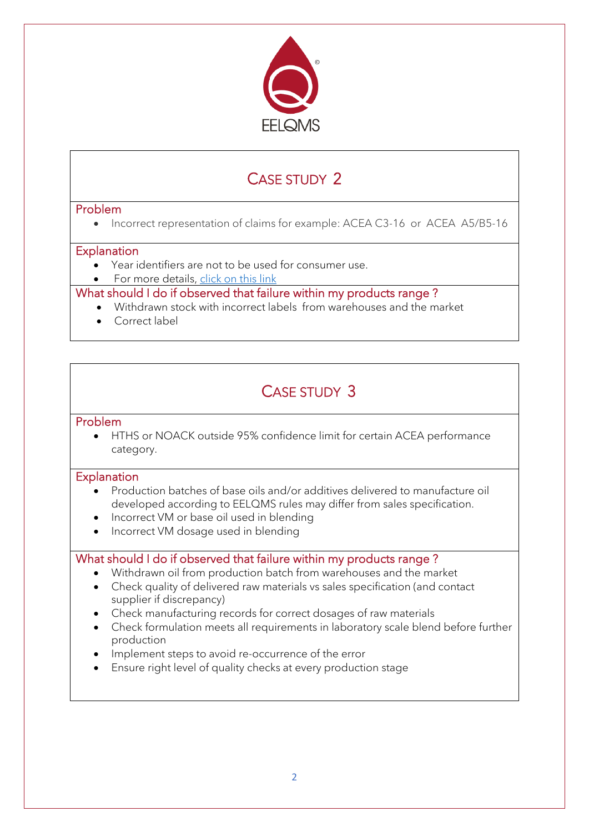

## CASE STUDY 2

#### Problem

• Incorrect representation of claims for example: ACEA C3-16 or ACEA A5/B5-16

#### **Explanation**

- Year identifiers are not to be used for consumer use.
- For more details, click on this link

#### What should I do if observed that failure within my products range ?

- Withdrawn stock with incorrect labels from warehouses and the market
- Correct label

### CASE STUDY 3

#### Problem

• HTHS or NOACK outside 95% confidence limit for certain ACEA performance category.

#### **Explanation**

- Production batches of base oils and/or additives delivered to manufacture oil developed according to EELQMS rules may differ from sales specification.
- Incorrect VM or base oil used in blending
- Incorrect VM dosage used in blending

#### What should I do if observed that failure within my products range?

- Withdrawn oil from production batch from warehouses and the market
- Check quality of delivered raw materials vs sales specification (and contact supplier if discrepancy)
- Check manufacturing records for correct dosages of raw materials
- Check formulation meets all requirements in laboratory scale blend before further production
- Implement steps to avoid re-occurrence of the error
- Ensure right level of quality checks at every production stage